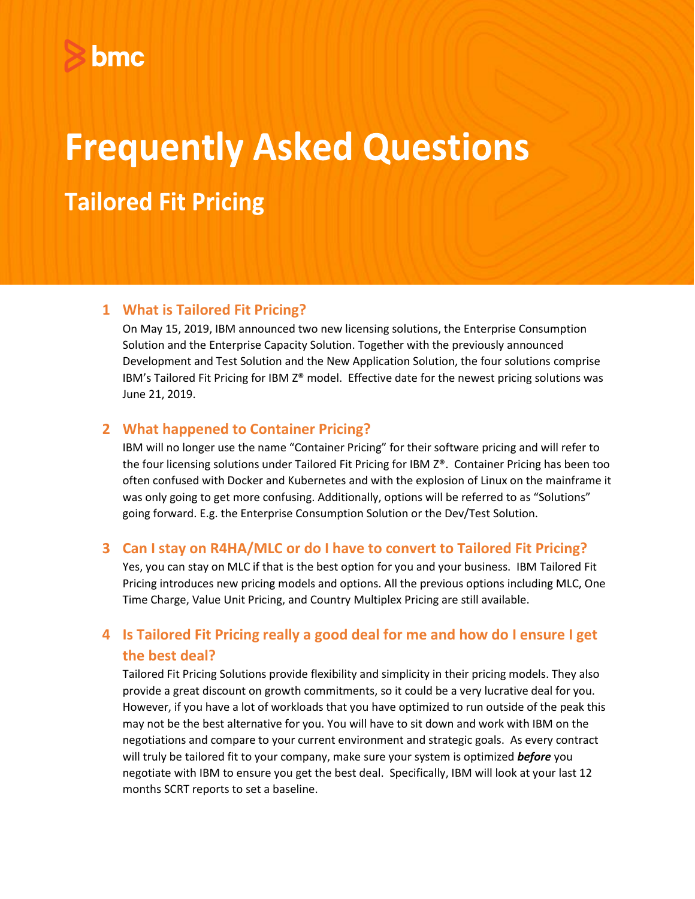## **Frequently Asked Questions**  $\blacksquare$ 2.

### **1 What is Tailored Fit Pricing?**

On May 15, 2019, IBM announced two new licensing solutions, the Enterprise Consumption Solution and the Enterprise Capacity Solution. Together with the previously announced Development and Test Solution and the New Application Solution, the four solutions comprise IBM's Tailored Fit Pricing for IBM Z® model. Effective date for the newest pricing solutions was June 21, 2019.

### **2 What happened to Container Pricing?**

IBM will no longer use the name "Container Pricing" for their software pricing and will refer to the four licensing solutions under Tailored Fit Pricing for IBM Z®. Container Pricing has been too often confused with Docker and Kubernetes and with the explosion of Linux on the mainframe it was only going to get more confusing. Additionally, options will be referred to as "Solutions" going forward. E.g. the Enterprise Consumption Solution or the Dev/Test Solution.

### **3 Can I stay on R4HA/MLC or do I have to convert to Tailored Fit Pricing?**

Yes, you can stay on MLC if that is the best option for you and your business. IBM Tailored Fit Pricing introduces new pricing models and options. All the previous options including MLC, One Time Charge, Value Unit Pricing, and Country Multiplex Pricing are still available.

### **4 Is Tailored Fit Pricing really a good deal for me and how do I ensure I get the best deal?**

Tailored Fit Pricing Solutions provide flexibility and simplicity in their pricing models. They also provide a great discount on growth commitments, so it could be a very lucrative deal for you. However, if you have a lot of workloads that you have optimized to run outside of the peak this may not be the best alternative for you. You will have to sit down and work with IBM on the negotiations and compare to your current environment and strategic goals. As every contract will truly be tailored fit to your company, make sure your system is optimized *before* you negotiate with IBM to ensure you get the best deal. Specifically, IBM will look at your last 12 months SCRT reports to set a baseline.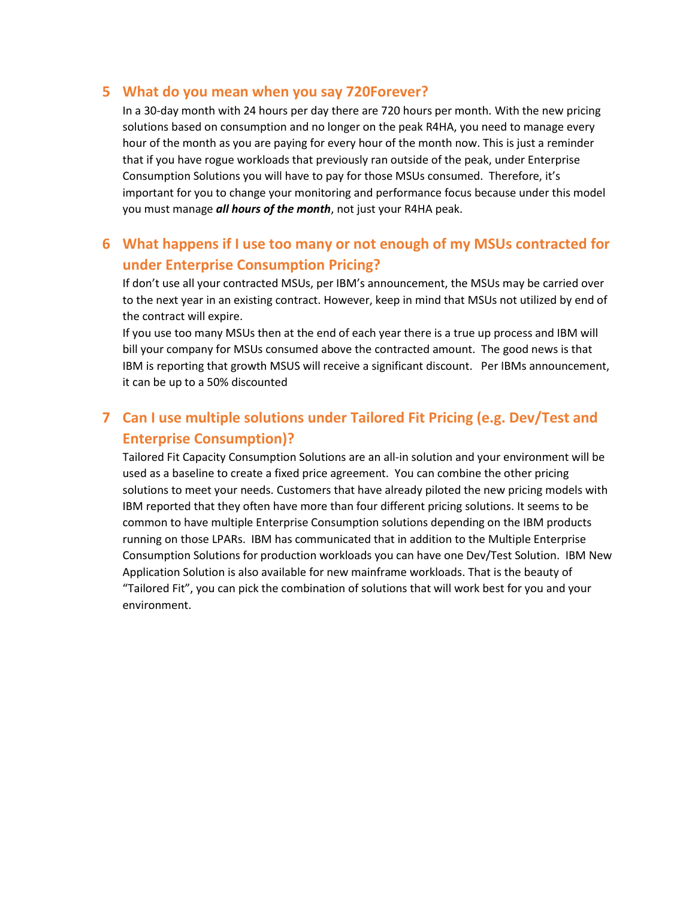#### **5 What do you mean when you say 720Forever?**

In a 30-day month with 24 hours per day there are 720 hours per month. With the new pricing solutions based on consumption and no longer on the peak R4HA, you need to manage every hour of the month as you are paying for every hour of the month now. This is just a reminder that if you have rogue workloads that previously ran outside of the peak, under Enterprise Consumption Solutions you will have to pay for those MSUs consumed. Therefore, it's important for you to change your monitoring and performance focus because under this model you must manage *all hours of the month*, not just your R4HA peak.

### **6 What happens if I use too many or not enough of my MSUs contracted for under Enterprise Consumption Pricing?**

If don't use all your contracted MSUs, per IBM's announcement, the MSUs may be carried over to the next year in an existing contract. However, keep in mind that MSUs not utilized by end of the contract will expire.

If you use too many MSUs then at the end of each year there is a true up process and IBM will bill your company for MSUs consumed above the contracted amount. The good news is that IBM is reporting that growth MSUS will receive a significant discount. Per IBMs announcement, it can be up to a 50% discounted

### **7 Can I use multiple solutions under Tailored Fit Pricing (e.g. Dev/Test and Enterprise Consumption)?**

Tailored Fit Capacity Consumption Solutions are an all-in solution and your environment will be used as a baseline to create a fixed price agreement. You can combine the other pricing solutions to meet your needs. Customers that have already piloted the new pricing models with IBM reported that they often have more than four different pricing solutions. It seems to be common to have multiple Enterprise Consumption solutions depending on the IBM products running on those LPARs. IBM has communicated that in addition to the Multiple Enterprise Consumption Solutions for production workloads you can have one Dev/Test Solution. IBM New Application Solution is also available for new mainframe workloads. That is the beauty of "Tailored Fit", you can pick the combination of solutions that will work best for you and your environment.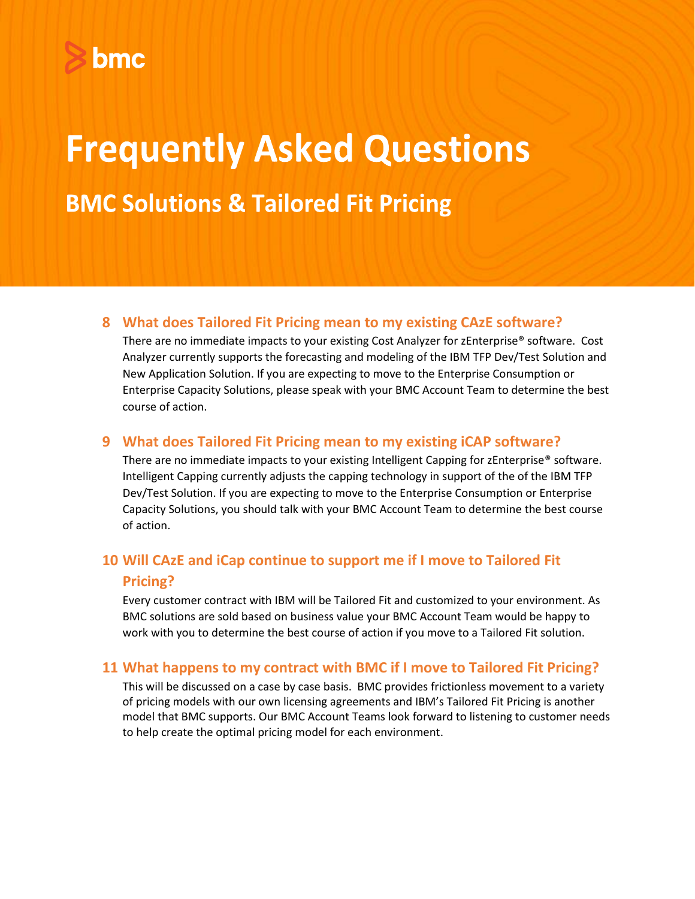# **Frequently Asked Questions**

### **BMC Solutions & Tailored Fit Pricing**

### **8 What does Tailored Fit Pricing mean to my existing CAzE software?**

There are no immediate impacts to your existing Cost Analyzer for zEnterprise® software. Cost Analyzer currently supports the forecasting and modeling of the IBM TFP Dev/Test Solution and New Application Solution. If you are expecting to move to the Enterprise Consumption or Enterprise Capacity Solutions, please speak with your BMC Account Team to determine the best course of action.

### **9 What does Tailored Fit Pricing mean to my existing iCAP software?**

There are no immediate impacts to your existing Intelligent Capping for zEnterprise® software. Intelligent Capping currently adjusts the capping technology in support of the of the IBM TFP Dev/Test Solution. If you are expecting to move to the Enterprise Consumption or Enterprise Capacity Solutions, you should talk with your BMC Account Team to determine the best course of action.

### **10 Will CAzE and iCap continue to support me if I move to Tailored Fit Pricing?**

Every customer contract with IBM will be Tailored Fit and customized to your environment. As BMC solutions are sold based on business value your BMC Account Team would be happy to work with you to determine the best course of action if you move to a Tailored Fit solution.

### **11 What happens to my contract with BMC if I move to Tailored Fit Pricing?**

This will be discussed on a case by case basis. BMC provides frictionless movement to a variety of pricing models with our own licensing agreements and IBM's Tailored Fit Pricing is another model that BMC supports. Our BMC Account Teams look forward to listening to customer needs to help create the optimal pricing model for each environment.